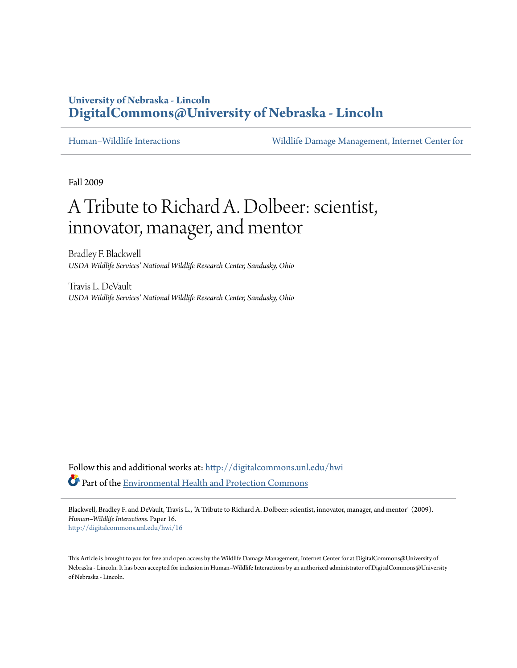## **University of Nebraska - Lincoln [DigitalCommons@University of Nebraska - Lincoln](http://digitalcommons.unl.edu?utm_source=digitalcommons.unl.edu%2Fhwi%2F16&utm_medium=PDF&utm_campaign=PDFCoverPages)**

[Human–Wildlife Interactions](http://digitalcommons.unl.edu/hwi?utm_source=digitalcommons.unl.edu%2Fhwi%2F16&utm_medium=PDF&utm_campaign=PDFCoverPages) [Wildlife Damage Management, Internet Center for](http://digitalcommons.unl.edu/icwdm?utm_source=digitalcommons.unl.edu%2Fhwi%2F16&utm_medium=PDF&utm_campaign=PDFCoverPages)

Fall 2009

## A Tribute to Richard A. Dolbeer: scientist, innovator, manager, and mentor

Bradley F. Blackwell *USDA Wildlife Services' National Wildlife Research Center, Sandusky, Ohio*

Travis L. DeVault *USDA Wildlife Services' National Wildlife Research Center, Sandusky, Ohio*

Follow this and additional works at: [http://digitalcommons.unl.edu/hwi](http://digitalcommons.unl.edu/hwi?utm_source=digitalcommons.unl.edu%2Fhwi%2F16&utm_medium=PDF&utm_campaign=PDFCoverPages) Part of the [Environmental Health and Protection Commons](http://network.bepress.com/hgg/discipline/172?utm_source=digitalcommons.unl.edu%2Fhwi%2F16&utm_medium=PDF&utm_campaign=PDFCoverPages)

Blackwell, Bradley F. and DeVault, Travis L., "A Tribute to Richard A. Dolbeer: scientist, innovator, manager, and mentor" (2009). *Human–Wildlife Interactions.* Paper 16. [http://digitalcommons.unl.edu/hwi/16](http://digitalcommons.unl.edu/hwi/16?utm_source=digitalcommons.unl.edu%2Fhwi%2F16&utm_medium=PDF&utm_campaign=PDFCoverPages)

This Article is brought to you for free and open access by the Wildlife Damage Management, Internet Center for at DigitalCommons@University of Nebraska - Lincoln. It has been accepted for inclusion in Human–Wildlife Interactions by an authorized administrator of DigitalCommons@University of Nebraska - Lincoln.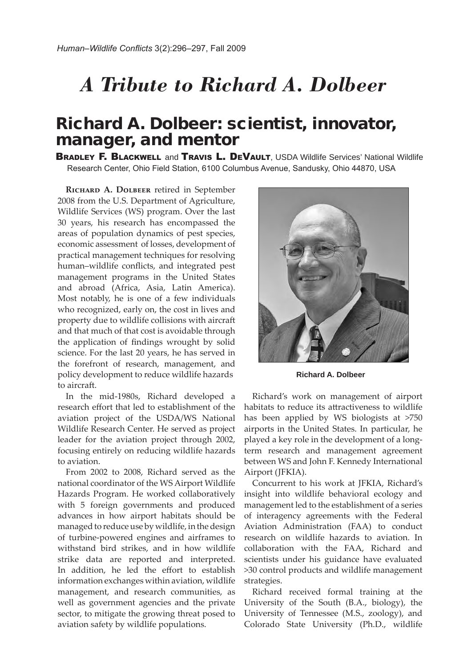## *A Tribute to Richard A. Dolbeer*

## Richard A. Dolbeer: scientist, innovator, manager, and mentor

**BRADLEY F. BLACKWELL and TRAVIS L. DEVAULT**. USDA Wildlife Services' National Wildlife Research Center, Ohio Field Station, 6100 Columbus Avenue, Sandusky, Ohio 44870, USA

**Richard A. Dolbeer** retired in September 2008 from the U.S. Department of Agriculture, Wildlife Services (WS) program. Over the last 30 years, his research has encompassed the areas of population dynamics of pest species, economic assessment of losses, development of practical management techniques for resolving human–wildlife conflicts, and integrated pest management programs in the United States and abroad (Africa, Asia, Latin America). Most notably, he is one of a few individuals who recognized, early on, the cost in lives and property due to wildlife collisions with aircraft and that much of that cost is avoidable through the application of findings wrought by solid science. For the last 20 years, he has served in the forefront of research, management, and policy development to reduce wildlife hazards to aircraft.

In the mid-1980s, Richard developed a research effort that led to establishment of the aviation project of the USDA/WS National Wildlife Research Center. He served as project leader for the aviation project through 2002, focusing entirely on reducing wildlife hazards to aviation.

From 2002 to 2008, Richard served as the national coordinator of the WS Airport Wildlife Hazards Program. He worked collaboratively with 5 foreign governments and produced advances in how airport habitats should be managed to reduce use by wildlife, in the design of turbine-powered engines and airframes to withstand bird strikes, and in how wildlife strike data are reported and interpreted. In addition, he led the effort to establish information exchanges within aviation, wildlife management, and research communities, as well as government agencies and the private sector, to mitigate the growing threat posed to aviation safety by wildlife populations.



**Richard A. Dolbeer**

Richard's work on management of airport habitats to reduce its attractiveness to wildlife has been applied by WS biologists at >750 airports in the United States. In particular, he played a key role in the development of a longterm research and management agreement between WS and John F. Kennedy International Airport (JFKIA).

Concurrent to his work at JFKIA, Richard's insight into wildlife behavioral ecology and management led to the establishment of a series of interagency agreements with the Federal Aviation Administration (FAA) to conduct research on wildlife hazards to aviation. In collaboration with the FAA, Richard and scientists under his guidance have evaluated >30 control products and wildlife management strategies.

Richard received formal training at the University of the South (B.A., biology), the University of Tennessee (M.S., zoology), and Colorado State University (Ph.D., wildlife